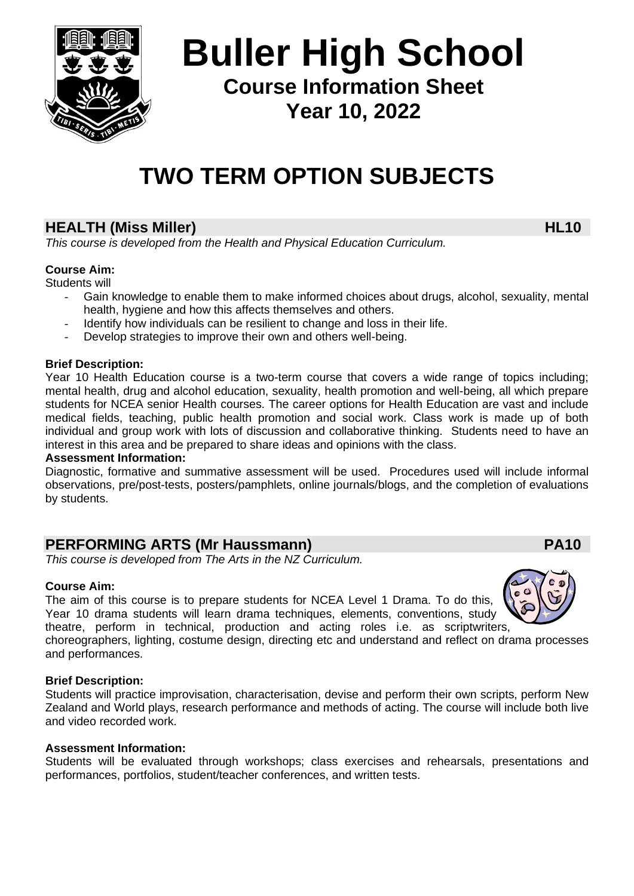

# **Buller High School Course Information Sheet Year 10, 2022**

# **TWO TERM OPTION SUBJECTS**

# **HEALTH (Miss Miller) HL10**

*This course is developed from the Health and Physical Education Curriculum.*

### **Course Aim:**

Students will

- Gain knowledge to enable them to make informed choices about drugs, alcohol, sexuality, mental health, hygiene and how this affects themselves and others.
- Identify how individuals can be resilient to change and loss in their life.
- Develop strategies to improve their own and others well-being.

### **Brief Description:**

Year 10 Health Education course is a two-term course that covers a wide range of topics including; mental health, drug and alcohol education, sexuality, health promotion and well-being, all which prepare students for NCEA senior Health courses. The career options for Health Education are vast and include medical fields, teaching, public health promotion and social work. Class work is made up of both individual and group work with lots of discussion and collaborative thinking. Students need to have an interest in this area and be prepared to share ideas and opinions with the class.

### **Assessment Information:**

Diagnostic, formative and summative assessment will be used. Procedures used will include informal observations, pre/post-tests, posters/pamphlets, online journals/blogs, and the completion of evaluations by students.

### **PERFORMING ARTS (Mr Haussmann) PA10**

*This course is developed from The Arts in the NZ Curriculum.*

### **Course Aim:**

The aim of this course is to prepare students for NCEA Level 1 Drama. To do this, Year 10 drama students will learn drama techniques, elements, conventions, study theatre, perform in technical, production and acting roles i.e. as scriptwriters,

choreographers, lighting, costume design, directing etc and understand and reflect on drama processes and performances.

### **Brief Description:**

Students will practice improvisation, characterisation, devise and perform their own scripts, perform New Zealand and World plays, research performance and methods of acting. The course will include both live and video recorded work.

### **Assessment Information:**

Students will be evaluated through workshops; class exercises and rehearsals, presentations and performances, portfolios, student/teacher conferences, and written tests.

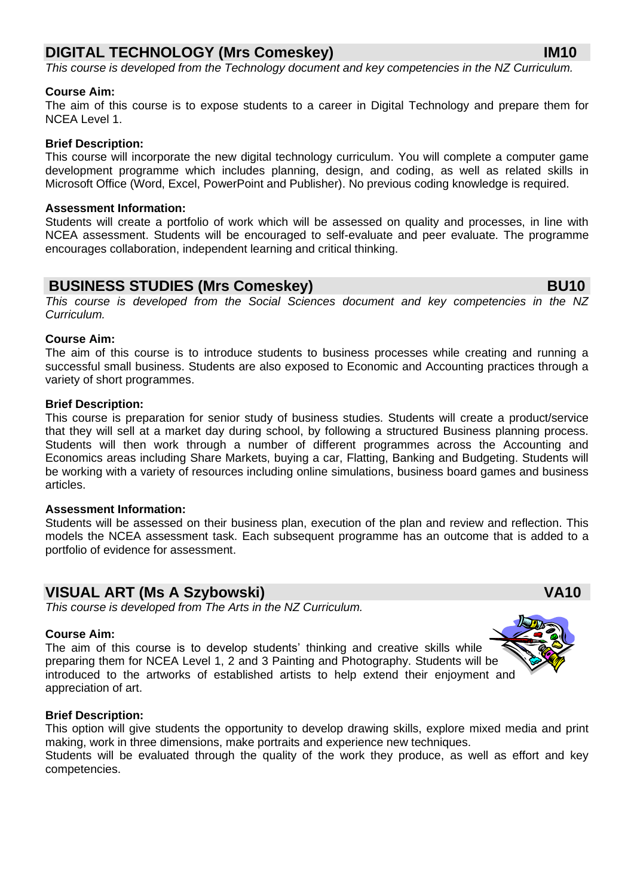### **DIGITAL TECHNOLOGY (Mrs Comeskey) IM10**

*This course is developed from the Technology document and key competencies in the NZ Curriculum.*

### **Course Aim:**

The aim of this course is to expose students to a career in Digital Technology and prepare them for NCEA Level 1.

### **Brief Description:**

This course will incorporate the new digital technology curriculum. You will complete a computer game development programme which includes planning, design, and coding, as well as related skills in Microsoft Office (Word, Excel, PowerPoint and Publisher). No previous coding knowledge is required.

### **Assessment Information:**

Students will create a portfolio of work which will be assessed on quality and processes, in line with NCEA assessment. Students will be encouraged to self-evaluate and peer evaluate. The programme encourages collaboration, independent learning and critical thinking.

### **BUSINESS STUDIES (Mrs Comeskey) BU10**

*This course is developed from the Social Sciences document and key competencies in the NZ Curriculum.*

### **Course Aim:**

The aim of this course is to introduce students to business processes while creating and running a successful small business. Students are also exposed to Economic and Accounting practices through a variety of short programmes.

### **Brief Description:**

This course is preparation for senior study of business studies. Students will create a product/service that they will sell at a market day during school, by following a structured Business planning process. Students will then work through a number of different programmes across the Accounting and Economics areas including Share Markets, buying a car, Flatting, Banking and Budgeting. Students will be working with a variety of resources including online simulations, business board games and business articles.

### **Assessment Information:**

Students will be assessed on their business plan, execution of the plan and review and reflection. This models the NCEA assessment task. Each subsequent programme has an outcome that is added to a portfolio of evidence for assessment.

### **VISUAL ART (Ms A Szybowski) VA10**

*This course is developed from The Arts in the NZ Curriculum.*

### **Course Aim:**

The aim of this course is to develop students' thinking and creative skills while preparing them for NCEA Level 1, 2 and 3 Painting and Photography. Students will be introduced to the artworks of established artists to help extend their enjoyment and appreciation of art.

#### **Brief Description:**

This option will give students the opportunity to develop drawing skills, explore mixed media and print making, work in three dimensions, make portraits and experience new techniques.

Students will be evaluated through the quality of the work they produce, as well as effort and key competencies.

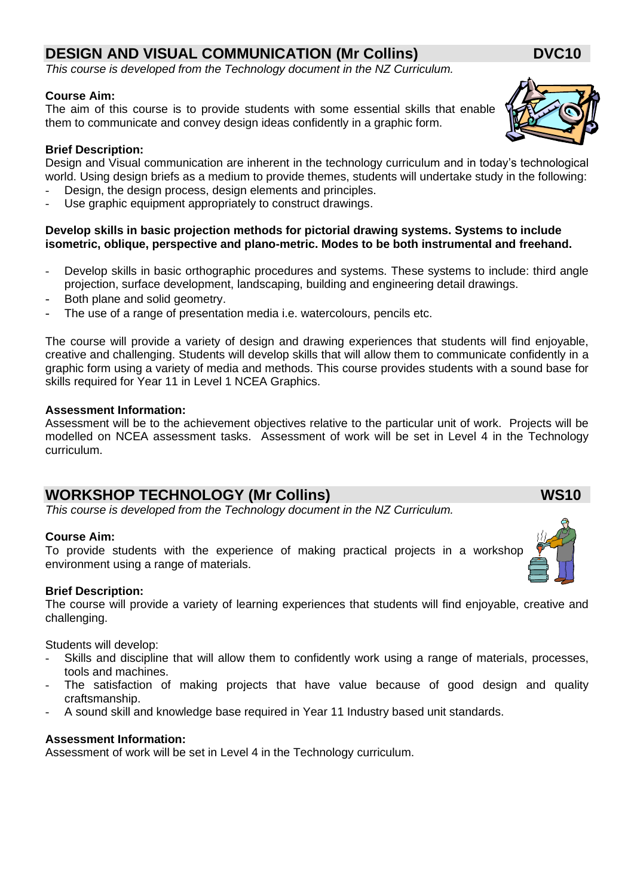## **DESIGN AND VISUAL COMMUNICATION (Mr Collins) DVC10**

*This course is developed from the Technology document in the NZ Curriculum.*

### **Course Aim:**

The aim of this course is to provide students with some essential skills that enable them to communicate and convey design ideas confidently in a graphic form.

### **Brief Description:**

Design and Visual communication are inherent in the technology curriculum and in today's technological world. Using design briefs as a medium to provide themes, students will undertake study in the following:

- Design, the design process, design elements and principles.
- Use graphic equipment appropriately to construct drawings.

### **Develop skills in basic projection methods for pictorial drawing systems. Systems to include isometric, oblique, perspective and plano-metric. Modes to be both instrumental and freehand.**

- Develop skills in basic orthographic procedures and systems. These systems to include: third angle projection, surface development, landscaping, building and engineering detail drawings.
- Both plane and solid geometry.
- The use of a range of presentation media i.e. watercolours, pencils etc.

The course will provide a variety of design and drawing experiences that students will find enjoyable, creative and challenging. Students will develop skills that will allow them to communicate confidently in a graphic form using a variety of media and methods. This course provides students with a sound base for skills required for Year 11 in Level 1 NCEA Graphics.

### **Assessment Information:**

Assessment will be to the achievement objectives relative to the particular unit of work. Projects will be modelled on NCEA assessment tasks. Assessment of work will be set in Level 4 in the Technology curriculum.

## **WORKSHOP TECHNOLOGY (Mr Collins) WS10**

*This course is developed from the Technology document in the NZ Curriculum.*

### **Course Aim:**

To provide students with the experience of making practical projects in a workshop environment using a range of materials.

### **Brief Description:**

The course will provide a variety of learning experiences that students will find enjoyable, creative and challenging.

Students will develop:

- Skills and discipline that will allow them to confidently work using a range of materials, processes, tools and machines.
- The satisfaction of making projects that have value because of good design and quality craftsmanship.
- A sound skill and knowledge base required in Year 11 Industry based unit standards.

### **Assessment Information:**

Assessment of work will be set in Level 4 in the Technology curriculum.